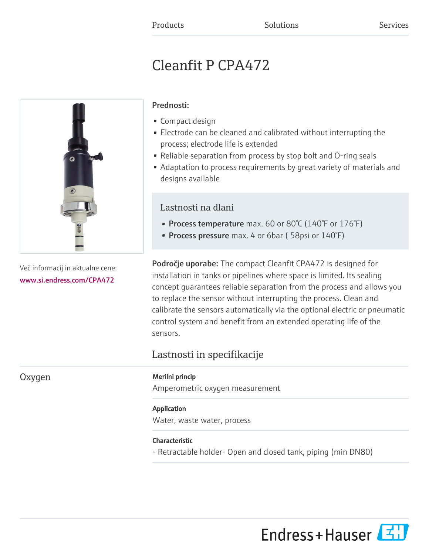# Cleanfit P CPA472



Več informacij in aktualne cene: [www.si.endress.com/CPA472](https://www.si.endress.com/CPA472)

# Prednosti:

- Compact design
- Electrode can be cleaned and calibrated without interrupting the process; electrode life is extended
- Reliable separation from process by stop bolt and O-ring seals
- Adaptation to process requirements by great variety of materials and designs available

# Lastnosti na dlani

- Process temperature max. 60 or 80°C (140°F or 176°F)
- Process pressure max. 4 or 6bar (58psi or 140°F)

**Področje uporabe:** The compact Cleanfit CPA472 is designed for installation in tanks or pipelines where space is limited. Its sealing concept guarantees reliable separation from the process and allows you to replace the sensor without interrupting the process. Clean and calibrate the sensors automatically via the optional electric or pneumatic control system and benefit from an extended operating life of the sensors.

# Lastnosti in specifikacije

# Oxygen Merilni princip

Amperometric oxygen measurement

# Application

Water, waste water, process

# Characteristic

- Retractable holder- Open and closed tank, piping (min DN80)

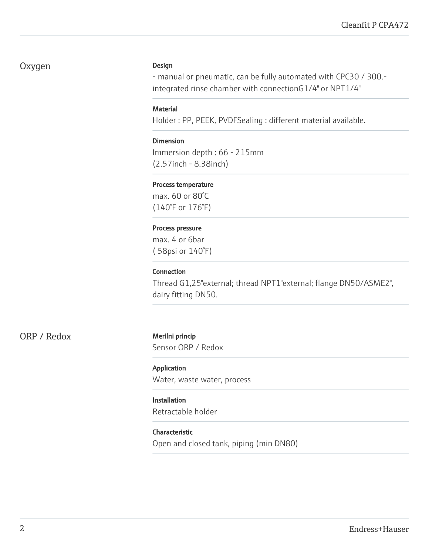# Oxygen Design

- manual or pneumatic, can be fully automated with CPC30 / 300. integrated rinse chamber with connectionG1/4" or NPT1/4"

# **Material**

Holder : PP, PEEK, PVDFSealing : different material available.

# Dimension

Immersion depth : 66 - 215mm (2.57inch - 8.38inch)

# Process temperature

max. 60 or 80°C (140°F or 176°F)

#### Process pressure

max. 4 or 6bar ( 58psi or 140°F)

# Connection

Thread G1,25"external; thread NPT1"external; flange DN50/ASME2", dairy fitting DN50.

ORP / Redox Merilni princip

Sensor ORP / Redox

# Application

Water, waste water, process

# Installation

Retractable holder

# Characteristic

Open and closed tank, piping (min DN80)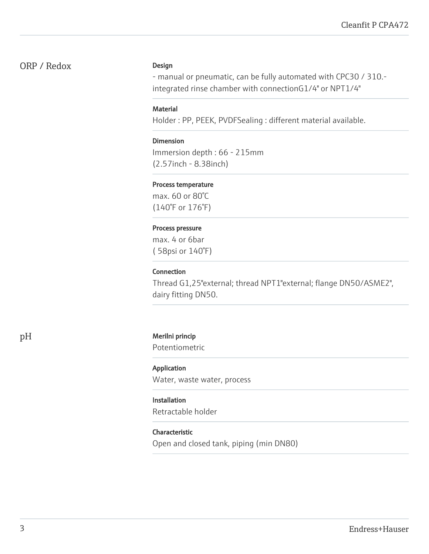# ORP / Redox

#### Design

- manual or pneumatic, can be fully automated with CPC30 / 310. integrated rinse chamber with connectionG1/4" or NPT1/4"

# **Material**

Holder : PP, PEEK, PVDFSealing : different material available.

# Dimension

Immersion depth : 66 - 215mm (2.57inch - 8.38inch)

# Process temperature

max. 60 or 80°C (140°F or 176°F)

#### Process pressure

max. 4 or 6bar ( 58psi or 140°F)

# Connection

Thread G1,25"external; thread NPT1"external; flange DN50/ASME2", dairy fitting DN50.

# pH Merilni princip

Potentiometric

# Application

Water, waste water, process

# Installation

Retractable holder

# Characteristic

Open and closed tank, piping (min DN80)